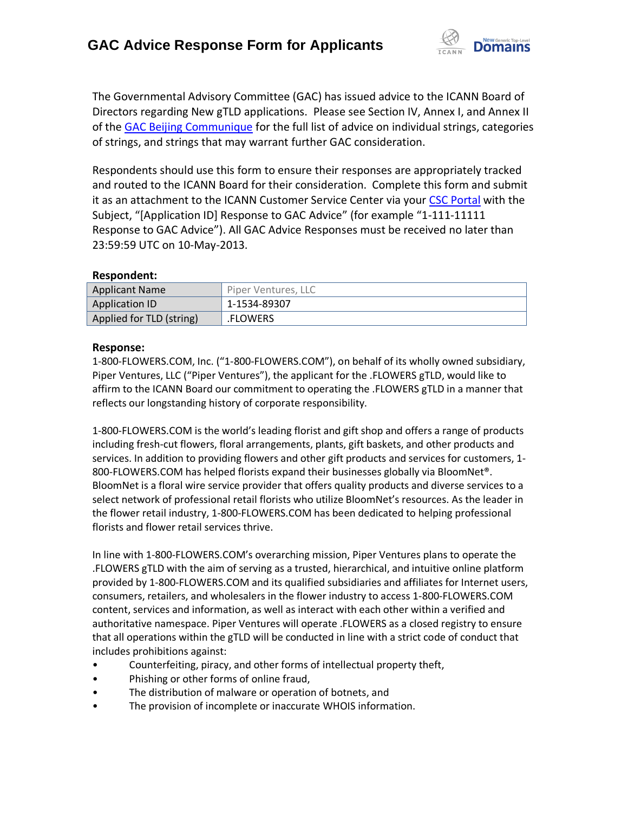

The Governmental Advisory Committee (GAC) has issued advice to the ICANN Board of Directors regarding New gTLD applications. Please see Section IV, Annex I, and Annex II of the [GAC Beijing Communique](http://www.icann.org/en/news/correspondence/gac-to-board-18apr13-en.pdf) for the full list of advice on individual strings, categories of strings, and strings that may warrant further GAC consideration.

Respondents should use this form to ensure their responses are appropriately tracked and routed to the ICANN Board for their consideration. Complete this form and submit it as an attachment to the ICANN Customer Service Center via your CSC [Portal](https://myicann.secure.force.com/) with the Subject, "[Application ID] Response to GAC Advice" (for example "1-111-11111 Response to GAC Advice"). All GAC Advice Responses must be received no later than 23:59:59 UTC on 10-May-2013.

## **Respondent:**

| <b>Applicant Name</b>    | Piper Ventures, LLC |
|--------------------------|---------------------|
| Application ID           | 1-1534-89307        |
| Applied for TLD (string) | .FLOWERS            |

## **Response:**

1-800-FLOWERS.COM, Inc. ("1-800-FLOWERS.COM"), on behalf of its wholly owned subsidiary, Piper Ventures, LLC ("Piper Ventures"), the applicant for the .FLOWERS gTLD, would like to affirm to the ICANN Board our commitment to operating the .FLOWERS gTLD in a manner that reflects our longstanding history of corporate responsibility.

1-800-FLOWERS.COM is the world's leading florist and gift shop and offers a range of products including fresh-cut flowers, floral arrangements, plants, gift baskets, and other products and services. In addition to providing flowers and other gift products and services for customers, 1- 800-FLOWERS.COM has helped florists expand their businesses globally via BloomNet®. BloomNet is a floral wire service provider that offers quality products and diverse services to a select network of professional retail florists who utilize BloomNet's resources. As the leader in the flower retail industry, 1-800-FLOWERS.COM has been dedicated to helping professional florists and flower retail services thrive.

In line with 1-800-FLOWERS.COM's overarching mission, Piper Ventures plans to operate the .FLOWERS gTLD with the aim of serving as a trusted, hierarchical, and intuitive online platform provided by 1-800-FLOWERS.COM and its qualified subsidiaries and affiliates for Internet users, consumers, retailers, and wholesalers in the flower industry to access 1-800-FLOWERS.COM content, services and information, as well as interact with each other within a verified and authoritative namespace. Piper Ventures will operate .FLOWERS as a closed registry to ensure that all operations within the gTLD will be conducted in line with a strict code of conduct that includes prohibitions against:

- Counterfeiting, piracy, and other forms of intellectual property theft,
- Phishing or other forms of online fraud,
- The distribution of malware or operation of botnets, and
- The provision of incomplete or inaccurate WHOIS information.